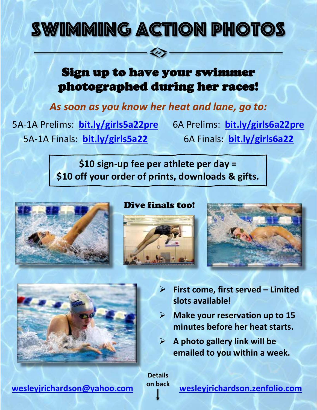## SWIMMING ACTION

## Sign up to have your swimmer photographed during her races!

*As soon as you know her heat and lane, go to:*

5A-1A Prelims: **[bit.ly/girls5a22pre](https://bit.ly/girls5a22pre)** 5A-1A Finals: **[bit.ly/girls5a22](https://bit.ly/girls5a22)**

6A Prelims: **[bit.ly/girls6a22pre](https://bit.ly/girls6a22pre)** 6A Finals: **[bit.ly/girls6a22](https://bit.ly/girls6a22)**

**\$10 sign-up fee per athlete per day = \$10 off your order of prints, downloads & gifts.**



## Dive finals too!







- ➢ **First come, first served – Limited slots available!**
- ➢ **Make your reservation up to 15 minutes before her heat starts.**
- ➢ **A photo gallery link will be emailed to you within a week.**

**Details on back**

**[wesleyjrichardson@yahoo.com](mailto:wesleyjrichardson@yahoo.com) [wesleyjrichardson.zenfolio.com](https://wesleyjrichardson.zenfolio.com/)**